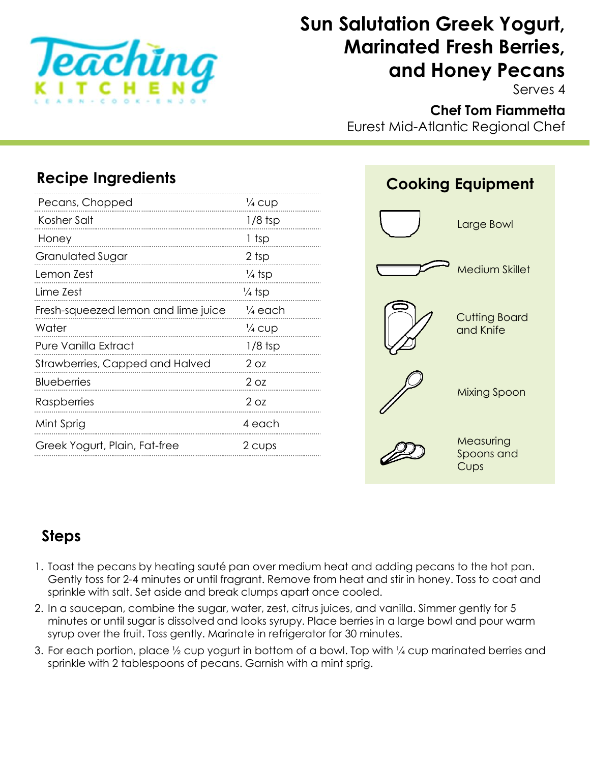

# **Sun Salutation Greek Yogurt, Marinated Fresh Berries, and Honey Pecans**

Serves 4

## **Chef Tom Fiammetta**

Eurest Mid-Atlantic Regional Chef

## **Recipe Ingredients**

| Pecans, Chopped                        | $\frac{1}{4}$ CUD  |
|----------------------------------------|--------------------|
| Kosher Salt                            | $1/8$ tsp          |
| Honey                                  | 1 tsp              |
| <b>Granulated Sugar</b>                | 2 tsp              |
| Lemon Zest                             | ¼ tsp              |
| Lime Zest                              | ¼ tsp              |
| Fresh-squeezed lemon and lime juice    | $\frac{1}{4}$ each |
| Water                                  | ¼ cup              |
| Pure Vanilla Extract                   | $1/8$ tsp          |
| <b>Strawberries, Capped and Halved</b> | 2 <sub>oz</sub>    |
| <b>Blueberries</b>                     | $2$ Oz             |
| <b>Raspberries</b>                     | $2$ Oz             |
| Mint Sprig                             | 4 each             |
| Greek Yogurt, Plain, Fat-free          | 2 cups             |



## **Steps**

- 1. Toast the pecans by heating sauté pan over medium heat and adding pecans to the hot pan. Gently toss for 2-4 minutes or until fragrant. Remove from heat and stir in honey. Toss to coat and sprinkle with salt. Set aside and break clumps apart once cooled.
- 2. In a saucepan, combine the sugar, water, zest, citrus juices, and vanilla. Simmer gently for 5 minutes or until sugar is dissolved and looks syrupy. Place berries in a large bowl and pour warm syrup over the fruit. Toss gently. Marinate in refrigerator for 30 minutes.
- 3. For each portion, place ½ cup yogurt in bottom of a bowl. Top with ¼ cup marinated berries and sprinkle with 2 tablespoons of pecans. Garnish with a mint sprig.